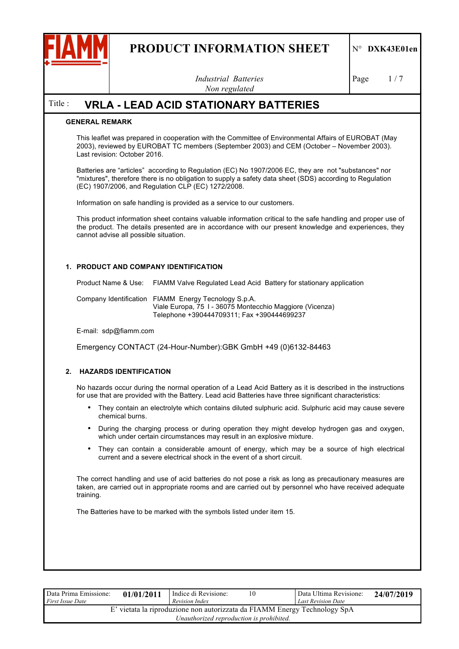

*Industrial Batteries Non regulated*

Page  $1/7$ 

# Title : **VRLA - LEAD ACID STATIONARY BATTERIES**

## **GENERAL REMARK**

This leaflet was prepared in cooperation with the Committee of Environmental Affairs of EUROBAT (May 2003), reviewed by EUROBAT TC members (September 2003) and CEM (October – November 2003). Last revision: October 2016.

Batteries are "articles" according to Regulation (EC) No 1907/2006 EC, they are not "substances" nor "mixtures", therefore there is no obligation to supply a safety data sheet (SDS) according to Regulation (EC) 1907/2006, and Regulation CLP (EC) 1272/2008.

Information on safe handling is provided as a service to our customers.

This product information sheet contains valuable information critical to the safe handling and proper use of the product. The details presented are in accordance with our present knowledge and experiences, they cannot advise all possible situation.

## **1. PRODUCT AND COMPANY IDENTIFICATION**

Product Name & Use: FIAMM Valve Regulated Lead Acid Battery for stationary application Company Identification FIAMM Energy Tecnology S.p.A. Viale Europa, 75 I - 36075 Montecchio Maggiore (Vicenza) Telephone +390444709311; Fax +390444699237

E-mail: sdp@fiamm.com

Emergency CONTACT (24-Hour-Number):GBK GmbH +49 (0)6132-84463

### **2. HAZARDS IDENTIFICATION**

No hazards occur during the normal operation of a Lead Acid Battery as it is described in the instructions for use that are provided with the Battery. Lead acid Batteries have three significant characteristics:

- They contain an electrolyte which contains diluted sulphuric acid. Sulphuric acid may cause severe chemical burns.
- During the charging process or during operation they might develop hydrogen gas and oxygen, which under certain circumstances may result in an explosive mixture.
- They can contain a considerable amount of energy, which may be a source of high electrical current and a severe electrical shock in the event of a short circuit.

The correct handling and use of acid batteries do not pose a risk as long as precautionary measures are taken, are carried out in appropriate rooms and are carried out by personnel who have received adequate training.

The Batteries have to be marked with the symbols listed under item 15.

| Data Prima Emissione:<br><i>First Issue Date</i> | 01/01/2011 | Indice di Revisione:<br>Revision Index                                                                                | 10 | Data Ultima Revisione:<br>Last Revision Date | 24/07/2019 |
|--------------------------------------------------|------------|-----------------------------------------------------------------------------------------------------------------------|----|----------------------------------------------|------------|
|                                                  |            | E' vietata la riproduzione non autorizzata da FIAMM Energy Technology SpA<br>Unauthorized reproduction is prohibited. |    |                                              |            |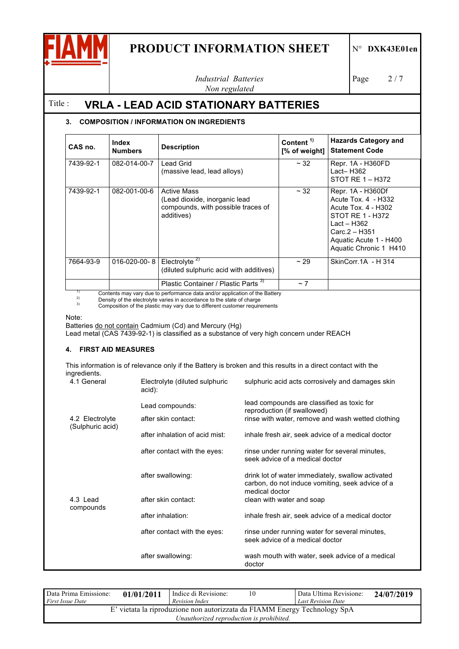

*Industrial Batteries Non regulated*

Page 2/7

# Title : **VRLA - LEAD ACID STATIONARY BATTERIES**

# **3. COMPOSITION / INFORMATION ON INGREDIENTS**

| CAS no.   | Index<br><b>Numbers</b> | <b>Description</b>                                                                                                                                                                                                                                                                      | Content <sup>1)</sup><br>[% of weight] | <b>Hazards Category and</b><br><b>Statement Code</b>                                                                                                                    |
|-----------|-------------------------|-----------------------------------------------------------------------------------------------------------------------------------------------------------------------------------------------------------------------------------------------------------------------------------------|----------------------------------------|-------------------------------------------------------------------------------------------------------------------------------------------------------------------------|
| 7439-92-1 | 082-014-00-7            | Lead Grid<br>(massive lead, lead alloys)                                                                                                                                                                                                                                                | $~\sim$ 32                             | Repr. 1A - H360FD<br>Lact– H362<br>STOT RE 1 – H372                                                                                                                     |
| 7439-92-1 | 082-001-00-6            | <b>Active Mass</b><br>(Lead dioxide, inorganic lead<br>compounds, with possible traces of<br>additives)                                                                                                                                                                                 | $~\sim$ 32                             | Repr. 1A - H360Df<br>Acute Tox. 4 - H332<br>Acute Tox. 4 - H302<br>STOT RE 1 - H372<br>Lact – H362<br>Carc.2 - H351<br>Aquatic Acute 1 - H400<br>Aquatic Chronic 1 H410 |
| 7664-93-9 | $016 - 020 - 00 - 8$    | Electrolyte <sup>2)</sup><br>(diluted sulphuric acid with additives)                                                                                                                                                                                                                    | ~29                                    | SkinCorr.1A - H 314                                                                                                                                                     |
|           |                         | Plastic Container / Plastic Parts <sup>3)</sup><br>$\mathbf{A}$ and $\mathbf{A}$ are all the set of the set of the set of the set of the set of the set of the set of the set of the set of the set of the set of the set of the set of the set of the set of the set of the set of the | $~\sim$ 7                              |                                                                                                                                                                         |

<sup>1)</sup> Contents may vary due to performance data and/or application of the Battery<br><sup>2)</sup> Density of the electrolyte varies in accordance to the state of charge<br><sup>3)</sup> Composition of the plastic may vary due to different custome

Note:

Batteries do not contain Cadmium (Cd) and Mercury (Hg)

Lead metal (CAS 7439-92-1) is classified as a substance of very high concern under REACH

## **4. FIRST AID MEASURES**

This information is of relevance only if the Battery is broken and this results in a direct contact with the ingredients.

| $III$ ulculc $III$<br>4.1 General | Electrolyte (diluted sulphuric<br>acid): | sulphuric acid acts corrosively and damages skin                                                                               |
|-----------------------------------|------------------------------------------|--------------------------------------------------------------------------------------------------------------------------------|
| 4.2 Electrolyte                   | Lead compounds:<br>after skin contact:   | lead compounds are classified as toxic for<br>reproduction (if swallowed)<br>rinse with water, remove and wash wetted clothing |
| (Sulphuric acid)                  | after inhalation of acid mist:           | inhale fresh air, seek advice of a medical doctor                                                                              |
|                                   | after contact with the eyes:             | rinse under running water for several minutes,<br>seek advice of a medical doctor                                              |
|                                   | after swallowing:                        | drink lot of water immediately, swallow activated<br>carbon, do not induce vomiting, seek advice of a<br>medical doctor        |
| 4.3 Lead                          | after skin contact:                      | clean with water and soap                                                                                                      |
| compounds                         | after inhalation:                        | inhale fresh air, seek advice of a medical doctor                                                                              |
|                                   | after contact with the eyes:             | rinse under running water for several minutes,<br>seek advice of a medical doctor                                              |
|                                   | after swallowing:                        | wash mouth with water, seek advice of a medical<br>doctor                                                                      |

| Data Prima Emissione:<br>First Issue Date | 01/01/2011 | Indice di Revisione:<br>Revision Index                                                                                | 10 | Data Ultima Revisione:<br><b>Last Revision Date</b> | 24/07/2019 |
|-------------------------------------------|------------|-----------------------------------------------------------------------------------------------------------------------|----|-----------------------------------------------------|------------|
|                                           |            | E' vietata la riproduzione non autorizzata da FIAMM Energy Technology SpA<br>Unauthorized reproduction is prohibited. |    |                                                     |            |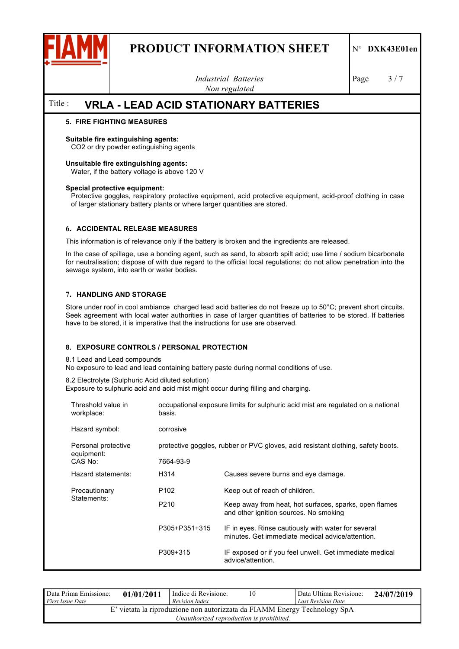

*Industrial Batteries Non regulated*

Page  $3/7$ 

# Title : **VRLA - LEAD ACID STATIONARY BATTERIES**

## **5. FIRE FIGHTING MEASURES**

#### **Suitable fire extinguishing agents:**

CO2 or dry powder extinguishing agents

#### **Unsuitable fire extinguishing agents:**

Water, if the battery voltage is above 120 V

#### **Special protective equipment:**

Protective goggles, respiratory protective equipment, acid protective equipment, acid-proof clothing in case of larger stationary battery plants or where larger quantities are stored.

### **6. ACCIDENTAL RELEASE MEASURES**

This information is of relevance only if the battery is broken and the ingredients are released.

In the case of spillage, use a bonding agent, such as sand, to absorb spilt acid; use lime / sodium bicarbonate for neutralisation; dispose of with due regard to the official local regulations; do not allow penetration into the sewage system, into earth or water bodies.

## **7. HANDLING AND STORAGE**

Store under roof in cool ambiance charged lead acid batteries do not freeze up to 50°C; prevent short circuits. Seek agreement with local water authorities in case of larger quantities of batteries to be stored. If batteries have to be stored, it is imperative that the instructions for use are observed.

### **8. EXPOSURE CONTROLS / PERSONAL PROTECTION**

8.1 Lead and Lead compounds

No exposure to lead and lead containing battery paste during normal conditions of use.

8.2 Electrolyte (Sulphuric Acid diluted solution)

Exposure to sulphuric acid and acid mist might occur during filling and charging.

| Threshold value in<br>workplace:             | basis.           | occupational exposure limits for sulphuric acid mist are regulated on a national                        |  |  |  |  |
|----------------------------------------------|------------------|---------------------------------------------------------------------------------------------------------|--|--|--|--|
| Hazard symbol:                               | corrosive        |                                                                                                         |  |  |  |  |
| Personal protective<br>equipment:<br>CAS No: | 7664-93-9        | protective goggles, rubber or PVC gloves, acid resistant clothing, safety boots.                        |  |  |  |  |
|                                              |                  |                                                                                                         |  |  |  |  |
| Hazard statements:                           | H314             | Causes severe burns and eye damage.                                                                     |  |  |  |  |
| Precautionary<br>Statements:                 | P <sub>102</sub> | Keep out of reach of children.                                                                          |  |  |  |  |
|                                              | P <sub>210</sub> | Keep away from heat, hot surfaces, sparks, open flames<br>and other ignition sources. No smoking        |  |  |  |  |
|                                              | P305+P351+315    | IF in eyes. Rinse cautiously with water for several<br>minutes. Get immediate medical advice/attention. |  |  |  |  |
|                                              | P309+315         | IF exposed or if you feel unwell. Get immediate medical<br>advice/attention.                            |  |  |  |  |

| Data Prima Emissione:<br><b>First Issue Date</b>                                                                      | 01/01/2011 | Indice di Revisione:<br>Revision Index | 10 | Data Ultima Revisione:<br><b>Last Revision Date</b> | 24/07/2019 |  |
|-----------------------------------------------------------------------------------------------------------------------|------------|----------------------------------------|----|-----------------------------------------------------|------------|--|
| E' vietata la riproduzione non autorizzata da FIAMM Energy Technology SpA<br>Unauthorized reproduction is prohibited. |            |                                        |    |                                                     |            |  |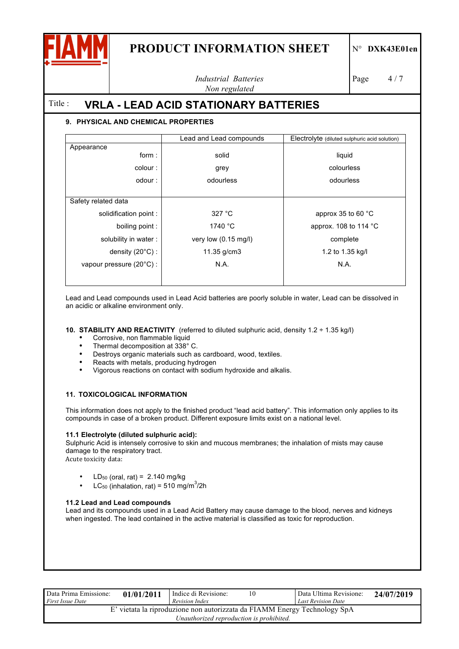

*Industrial Batteries Non regulated*

Page 4/7

Title : **VRLA - LEAD ACID STATIONARY BATTERIES**

# **9. PHYSICAL AND CHEMICAL PROPERTIES**

|                                   | Lead and Lead compounds        | Electrolyte (diluted sulphuric acid solution) |
|-----------------------------------|--------------------------------|-----------------------------------------------|
| Appearance                        |                                |                                               |
| form:                             | solid                          | liquid                                        |
| colour:                           | grey                           | colourless                                    |
| odour:                            | odourless                      | odourless                                     |
|                                   |                                |                                               |
| Safety related data               |                                |                                               |
| solidification point :            | 327 °C                         | approx 35 to 60 $\degree$ C                   |
| boiling point :                   | 1740 °C                        | approx. 108 to 114 $^{\circ}$ C               |
| solubility in water:              | very low $(0.15 \text{ mg/l})$ | complete                                      |
| density $(20^{\circ}C)$ :         | 11.35 g/cm3                    | 1.2 to 1.35 kg/l                              |
| vapour pressure $(20^{\circ}C)$ : | N.A.                           | N.A.                                          |
|                                   |                                |                                               |
|                                   |                                |                                               |

Lead and Lead compounds used in Lead Acid batteries are poorly soluble in water, Lead can be dissolved in an acidic or alkaline environment only.

**10. STABILITY AND REACTIVITY** (referred to diluted sulphuric acid, density 1.2 ÷ 1.35 kg/l)

- Corrosive, non flammable liquid<br>• Thermal decomposition at 338°
- Thermal decomposition at 338° C.<br>• Destroys organic materials such as
- Destroys organic materials such as cardboard, wood, textiles.
- Reacts with metals, producing hydrogen
- Vigorous reactions on contact with sodium hydroxide and alkalis.

# **11. TOXICOLOGICAL INFORMATION**

This information does not apply to the finished product "lead acid battery". This information only applies to its compounds in case of a broken product. Different exposure limits exist on a national level.

### **11.1 Electrolyte (diluted sulphuric acid):**

Sulphuric Acid is intensely corrosive to skin and mucous membranes; the inhalation of mists may cause damage to the respiratory tract.

Acute toxicity data:

- LD<sub>50</sub> (oral, rat) =  $2.140$  mg/kg
- LC<sub>50</sub> (inhalation, rat) = 510 mg/m<sup>3</sup>/2h

# **11.2 Lead and Lead compounds**

Lead and its compounds used in a Lead Acid Battery may cause damage to the blood, nerves and kidneys when ingested. The lead contained in the active material is classified as toxic for reproduction.

| Data Prima Emissione:<br><i>First Issue Date</i> | 01/01/2011 | Indice di Revisione:<br>Revision Index                                                                                | 10 | Data Ultima Revisione:<br><b>Last Revision Date</b> | 24/07/2019 |
|--------------------------------------------------|------------|-----------------------------------------------------------------------------------------------------------------------|----|-----------------------------------------------------|------------|
|                                                  |            | E' vietata la riproduzione non autorizzata da FIAMM Energy Technology SpA<br>Unauthorized reproduction is prohibited. |    |                                                     |            |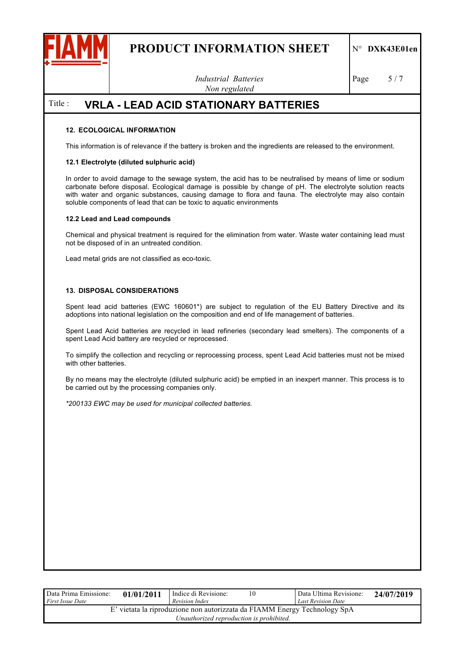

*Industrial Batteries Non regulated*

Page  $5/7$ 

# Title : **VRLA - LEAD ACID STATIONARY BATTERIES**

## **12. ECOLOGICAL INFORMATION**

This information is of relevance if the battery is broken and the ingredients are released to the environment.

### **12.1 Electrolyte (diluted sulphuric acid)**

In order to avoid damage to the sewage system, the acid has to be neutralised by means of lime or sodium carbonate before disposal. Ecological damage is possible by change of pH. The electrolyte solution reacts with water and organic substances, causing damage to flora and fauna. The electrolyte may also contain soluble components of lead that can be toxic to aquatic environments

#### **12.2 Lead and Lead compounds**

Chemical and physical treatment is required for the elimination from water. Waste water containing lead must not be disposed of in an untreated condition.

Lead metal grids are not classified as eco-toxic.

### **13. DISPOSAL CONSIDERATIONS**

Spent lead acid batteries (EWC 160601\*) are subject to regulation of the EU Battery Directive and its adoptions into national legislation on the composition and end of life management of batteries.

Spent Lead Acid batteries are recycled in lead refineries (secondary lead smelters). The components of a spent Lead Acid battery are recycled or reprocessed.

To simplify the collection and recycling or reprocessing process, spent Lead Acid batteries must not be mixed with other batteries.

By no means may the electrolyte (diluted sulphuric acid) be emptied in an inexpert manner. This process is to be carried out by the processing companies only.

*\*200133 EWC may be used for municipal collected batteries.*

| Data Prima Emissione:<br><i>First Issue Date</i>                                                                      | 01/01/2011 | Indice di Revisione:<br>Revision Index | 10 | Data Ultima Revisione:<br><b>Last Revision Date</b> | 24/07/2019 |
|-----------------------------------------------------------------------------------------------------------------------|------------|----------------------------------------|----|-----------------------------------------------------|------------|
| E' vietata la riproduzione non autorizzata da FIAMM Energy Technology SpA<br>Unauthorized reproduction is prohibited. |            |                                        |    |                                                     |            |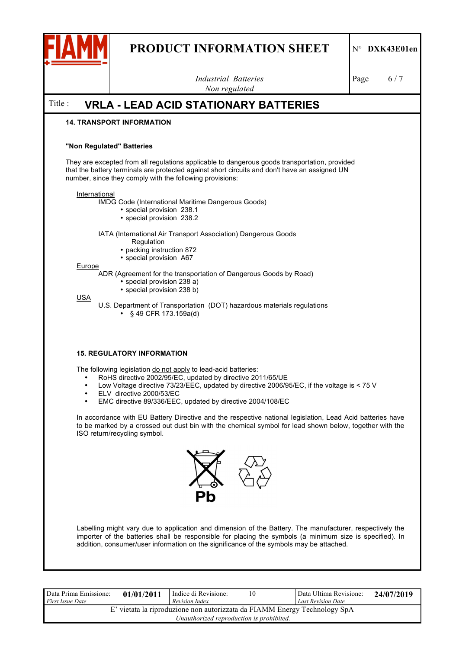

*Industrial Batteries Non regulated* Page 6/7 Title : **VRLA - LEAD ACID STATIONARY BATTERIES 14. TRANSPORT INFORMATION "Non Regulated" Batteries** They are excepted from all regulations applicable to dangerous goods transportation, provided that the battery terminals are protected against short circuits and don't have an assigned UN number, since they comply with the following provisions: **International** IMDG Code (International Maritime Dangerous Goods) • special provision 238.1 • special provision 238.2 IATA (International Air Transport Association) Dangerous Goods Regulation • packing instruction 872 • special provision A67 Europe ADR (Agreement for the transportation of Dangerous Goods by Road) • special provision 238 a) • special provision 238 b) USA U.S. Department of Transportation (DOT) hazardous materials regulations • § 49 CFR 173.159a(d) **15. REGULATORY INFORMATION** The following legislation do not apply to lead-acid batteries: • RoHS directive 2002/95/EC, updated by directive 2011/65/UE • Low Voltage directive 73/23/EEC, updated by directive 2006/95/EC, if the voltage is < 75 V • ELV directive 2000/53/EC • EMC directive 89/336/EEC, updated by directive 2004/108/EC In accordance with EU Battery Directive and the respective national legislation, Lead Acid batteries have to be marked by a crossed out dust bin with the chemical symbol for lead shown below, together with the



ISO return/recycling symbol.

Labelling might vary due to application and dimension of the Battery. The manufacturer, respectively the importer of the batteries shall be responsible for placing the symbols (a minimum size is specified). In addition, consumer/user information on the significance of the symbols may be attached.

| Data Prima Emissione:<br><b>First Issue Date</b> | 01/01/2011 | Indice di Revisione:<br>Revision Index                                                                                | 10 | Data Ultima Revisione:<br><b>Last Revision Date</b> | 24/07/2019 |
|--------------------------------------------------|------------|-----------------------------------------------------------------------------------------------------------------------|----|-----------------------------------------------------|------------|
|                                                  |            | E' vietata la riproduzione non autorizzata da FIAMM Energy Technology SpA<br>Unauthorized reproduction is prohibited. |    |                                                     |            |